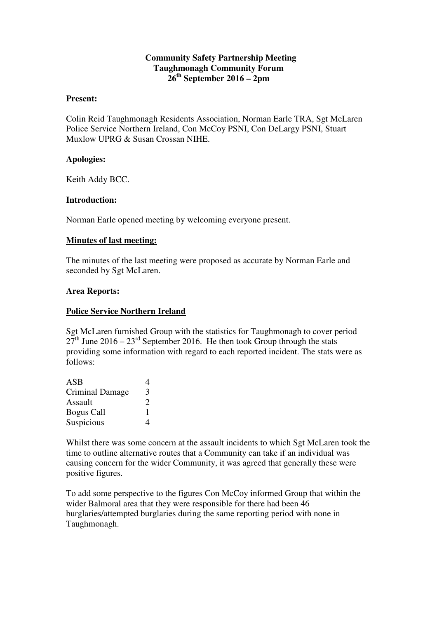## **Community Safety Partnership Meeting Taughmonagh Community Forum 26th September 2016 – 2pm**

## **Present:**

Colin Reid Taughmonagh Residents Association, Norman Earle TRA, Sgt McLaren Police Service Northern Ireland, Con McCoy PSNI, Con DeLargy PSNI, Stuart Muxlow UPRG & Susan Crossan NIHE.

## **Apologies:**

Keith Addy BCC.

#### **Introduction:**

Norman Earle opened meeting by welcoming everyone present.

#### **Minutes of last meeting:**

The minutes of the last meeting were proposed as accurate by Norman Earle and seconded by Sgt McLaren.

#### **Area Reports:**

#### **Police Service Northern Ireland**

Sgt McLaren furnished Group with the statistics for Taughmonagh to cover period  $27<sup>th</sup>$  June 2016 –  $23<sup>rd</sup>$  September 2016. He then took Group through the stats providing some information with regard to each reported incident. The stats were as follows:

| ASB                    | 4                           |
|------------------------|-----------------------------|
| <b>Criminal Damage</b> | 3                           |
| Assault                | $\mathcal{D}_{\mathcal{A}}$ |
| <b>Bogus Call</b>      | 1                           |
| Suspicious             | 4                           |

Whilst there was some concern at the assault incidents to which Sgt McLaren took the time to outline alternative routes that a Community can take if an individual was causing concern for the wider Community, it was agreed that generally these were positive figures.

To add some perspective to the figures Con McCoy informed Group that within the wider Balmoral area that they were responsible for there had been 46 burglaries/attempted burglaries during the same reporting period with none in Taughmonagh.